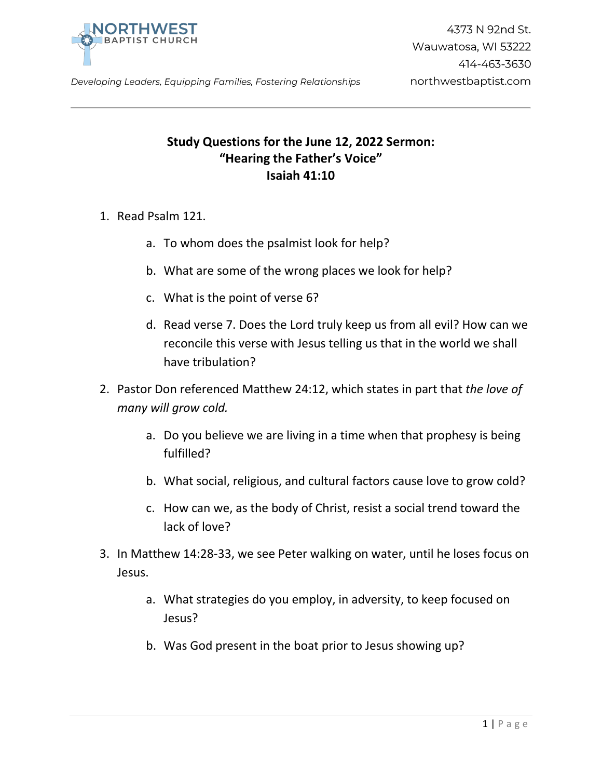

## **Study Questions for the June 12, 2022 Sermon: "Hearing the Father's Voice" Isaiah 41:10**

- 1. Read Psalm 121.
	- a. To whom does the psalmist look for help?
	- b. What are some of the wrong places we look for help?
	- c. What is the point of verse 6?
	- d. Read verse 7. Does the Lord truly keep us from all evil? How can we reconcile this verse with Jesus telling us that in the world we shall have tribulation?
- 2. Pastor Don referenced Matthew 24:12, which states in part that *the love of many will grow cold.*
	- a. Do you believe we are living in a time when that prophesy is being fulfilled?
	- b. What social, religious, and cultural factors cause love to grow cold?
	- c. How can we, as the body of Christ, resist a social trend toward the lack of love?
- 3. In Matthew 14:28-33, we see Peter walking on water, until he loses focus on Jesus.
	- a. What strategies do you employ, in adversity, to keep focused on Jesus?
	- b. Was God present in the boat prior to Jesus showing up?